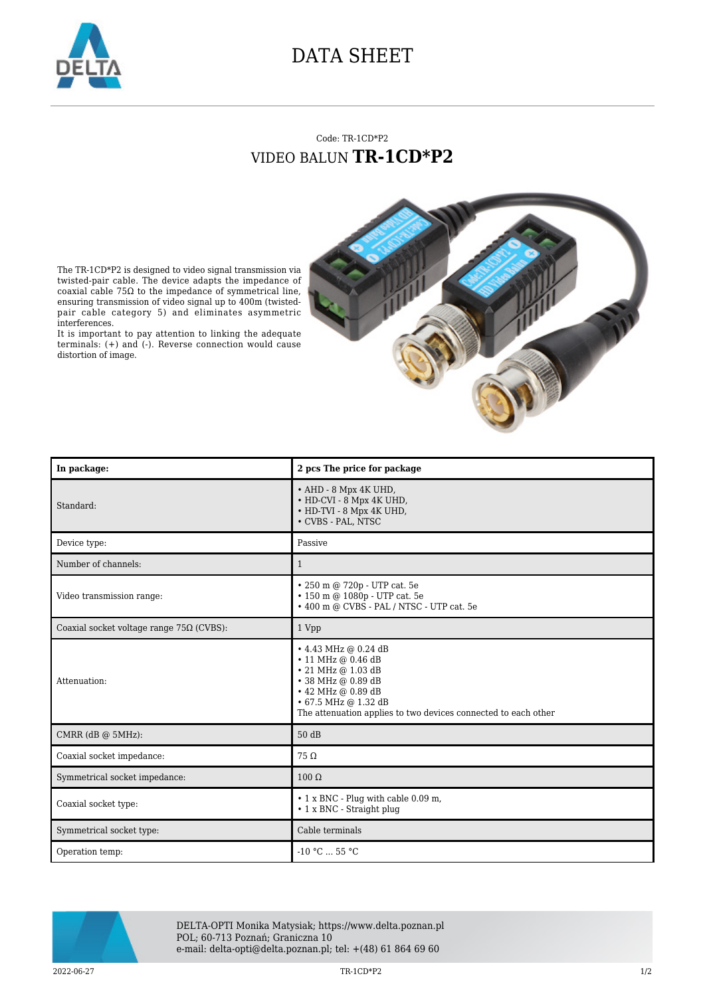

## DATA SHEET

## Code: TR-1CD\*P2 VIDEO BALUN **TR-1CD\*P2**



It is important to pay attention to linking the adequate terminals: (+) and (-). Reverse connection would cause distortion of image.





DELTA-OPTI Monika Matysiak; https://www.delta.poznan.pl POL; 60-713 Poznań; Graniczna 10 e-mail: delta-opti@delta.poznan.pl; tel: +(48) 61 864 69 60